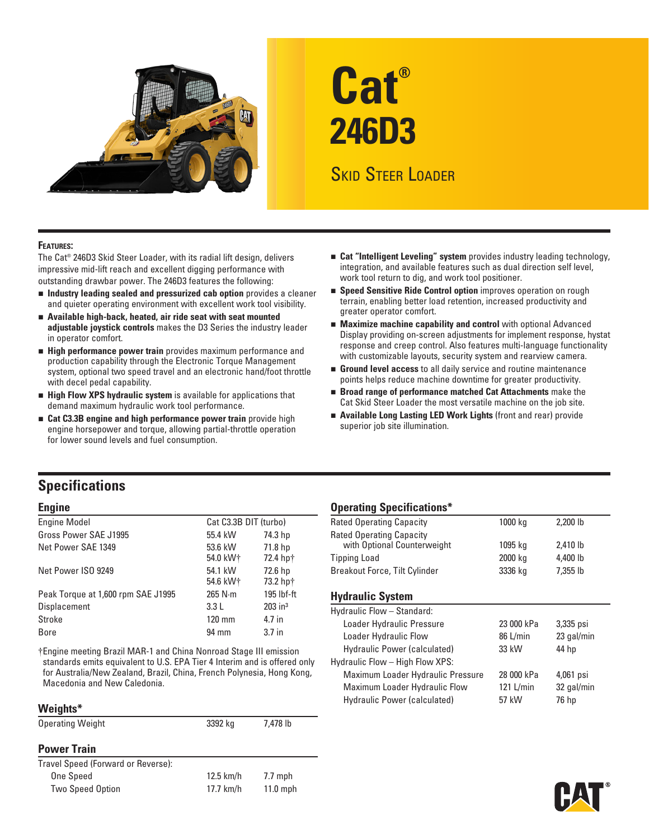

# **Cat® 246D3**

# Skid Steer Loader

#### **Features:**

The Cat® 246D3 Skid Steer Loader, with its radial lift design, delivers impressive mid-lift reach and excellent digging performance with outstanding drawbar power. The 246D3 features the following:

- n **Industry leading sealed and pressurized cab option** provides a cleaner and quieter operating environment with excellent work tool visibility.
- **n** Available high-back, heated, air ride seat with seat mounted **adjustable joystick controls** makes the D3 Series the industry leader in operator comfort.
- **External Performance power train** provides maximum performance and production capability through the Electronic Torque Management system, optional two speed travel and an electronic hand/foot throttle with decel pedal capability.
- **Exter High Flow XPS hydraulic system** is available for applications that demand maximum hydraulic work tool performance.
- **Example 23.3B engine and high performance power train** provide high engine horsepower and torque, allowing partial-throttle operation for lower sound levels and fuel consumption.
- n **Cat "Intelligent Leveling" system** provides industry leading technology, integration, and available features such as dual direction self level, work tool return to dig, and work tool positioner.
- **Example 3 Speed Sensitive Ride Control option** improves operation on rough terrain, enabling better load retention, increased productivity and greater operator comfort.
- **Maximize machine capability and control** with optional Advanced Display providing on-screen adjustments for implement response, hystat response and creep control. Also features multi-language functionality with customizable layouts, security system and rearview camera.
- **Ground level access** to all daily service and routine maintenance points helps reduce machine downtime for greater productivity.
- n **Broad range of performance matched Cat Attachments** make the Cat Skid Steer Loader the most versatile machine on the job site.
- **Example Long Lasting LED Work Lights** (front and rear) provide superior job site illumination.

## **Specifications**

| <b>Engine Model</b>                | Cat C3.3B DIT (turbo) |                       |
|------------------------------------|-----------------------|-----------------------|
| Gross Power SAE J1995              | 55.4 kW               | 74.3 hp               |
| Net Power SAE 1349                 | 53.6 kW<br>54.0 kW+   | 71.8 hp<br>72.4 hp†   |
| Net Power ISO 9249                 | 54.1 kW<br>54.6 kW+   | 72.6 hp<br>73.2 hp†   |
| Peak Torque at 1,600 rpm SAE J1995 | $265$ N $\cdot$ m     | 195 lbf-ft            |
| Displacement                       | 3.3L                  | $203$ in <sup>3</sup> |
| Stroke                             | $120 \text{ mm}$      | 4.7 in                |
| <b>Bore</b>                        | 94 mm                 | 3.7 <sub>in</sub>     |
|                                    |                       |                       |

†Engine meeting Brazil MAR-1 and China Nonroad Stage III emission standards emits equivalent to U.S. EPA Tier 4 Interim and is offered only for Australia/New Zealand, Brazil, China, French Polynesia, Hong Kong, Macedonia and New Caledonia.

#### **Weights\***

| --------                           |             |            |  |
|------------------------------------|-------------|------------|--|
| <b>Operating Weight</b>            | 3392 kg     | 7,478 lb   |  |
| <b>Power Train</b>                 |             |            |  |
| Travel Speed (Forward or Reverse): |             |            |  |
| <b>One Speed</b>                   | $12.5$ km/h | $7.7$ mph  |  |
| <b>Two Speed Option</b>            | $17.7$ km/h | $11.0$ mph |  |
|                                    |             |            |  |

## **Engine Constraints Constraints Constraints Constraints Constraints Constraints Constructions \***

| <b>Rated Operating Capacity</b> | 1000 kg | 2,200 lb |  |
|---------------------------------|---------|----------|--|
| <b>Rated Operating Capacity</b> |         |          |  |
| with Optional Counterweight     | 1095 ka | 2,410 lb |  |
| <b>Tipping Load</b>             | 2000 kg | 4,400 lb |  |
| Breakout Force, Tilt Cylinder   | 3336 kg | 7,355 lb |  |

## **Hydraulic System**

| Hydraulic Flow - Standard:        |  |            |            |  |
|-----------------------------------|--|------------|------------|--|
| Loader Hydraulic Pressure         |  | 23 000 kPa | 3,335 psi  |  |
| Loader Hydraulic Flow             |  | 86 L/min   | 23 gal/min |  |
| Hydraulic Power (calculated)      |  | 33 kW      | 44 hp      |  |
| Hydraulic Flow - High Flow XPS:   |  |            |            |  |
| Maximum Loader Hydraulic Pressure |  | 28 000 kPa | 4,061 psi  |  |
| Maximum Loader Hydraulic Flow     |  | 121 L/min  | 32 gal/min |  |
| Hydraulic Power (calculated)      |  | 57 kW      | 76 hp      |  |
|                                   |  |            |            |  |

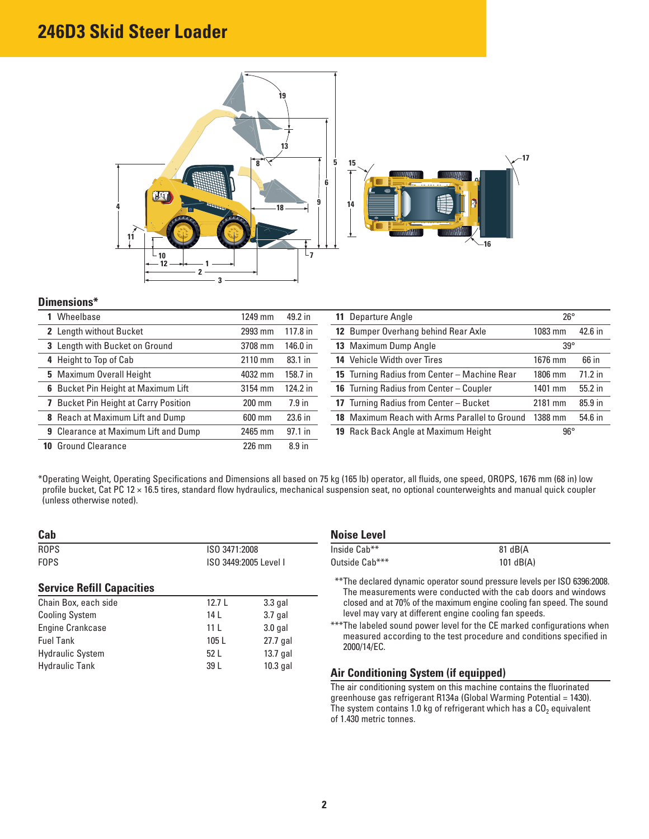# **246D3 Skid Steer Loader**



#### **Dimensions\***

| Wheelbase                                    | 1249 mm   | 49.2 in           | 11 Departure Angle                             | $26^{\circ}$ |           |
|----------------------------------------------|-----------|-------------------|------------------------------------------------|--------------|-----------|
| 2 Length without Bucket                      | 2993 mm   | $117.8$ in        | 12 Bumper Overhang behind Rear Axle            | $1083$ mm    | 42.6 in   |
| 3 Length with Bucket on Ground               | 3708 mm   | 146.0 in          | 13 Maximum Dump Angle                          | $39^\circ$   |           |
| 4 Height to Top of Cab                       | $2110$ mm | 83.1 in           | 14 Vehicle Width over Tires                    | 1676 mm      | 66 in     |
| 5 Maximum Overall Height                     | 4032 mm   | 158.7 in          | 15 Turning Radius from Center - Machine Rear   | 1806 mm      | $71.2$ in |
| 6 Bucket Pin Height at Maximum Lift          | 3154 mm   | 124.2 in          | <b>16</b> Turning Radius from Center – Coupler | 1401 mm      | 55.2 in   |
| <b>7</b> Bucket Pin Height at Carry Position | 200 mm    | $7.9$ in          | 17 Turning Radius from Center - Bucket         | 2181 mm      | 85.9 in   |
| 8 Reach at Maximum Lift and Dump             | 600 mm    | $23.6$ in         | 18 Maximum Reach with Arms Parallel to Ground  | 1388 mm      | 54.6 in   |
| <b>9</b> Clearance at Maximum Lift and Dump  | 2465 mm   | $97.1$ in         | 19 Rack Back Angle at Maximum Height           | $96^{\circ}$ |           |
| <b>10 Ground Clearance</b>                   | 226 mm    | 8.9 <sub>in</sub> |                                                |              |           |

\* Operating Weight, Operating Specifications and Dimensions all based on 75 kg (165 lb) operator, all fluids, one speed, OROPS, 1676 mm (68 in) low profile bucket, Cat PC 12 × 16.5 tires, standard flow hydraulics, mechanical suspension seat, no optional counterweights and manual quick coupler (unless otherwise noted).

| Cab                              |                 |                       |
|----------------------------------|-----------------|-----------------------|
| <b>ROPS</b>                      | ISO 3471:2008   |                       |
| <b>FOPS</b>                      |                 | ISO 3449:2005 Level I |
| <b>Service Refill Capacities</b> |                 |                       |
| Chain Box, each side             | 12.7 $L$        | $3.3$ gal             |
| <b>Cooling System</b>            | 14 I            | $3.7$ gal             |
| <b>Engine Crankcase</b>          | 11 <sup>L</sup> | $3.0$ gal             |
| <b>Fuel Tank</b>                 | 105L            | 27.7 gal              |
| <b>Hydraulic System</b>          | 52 L            | $13.7$ gal            |
| <b>Hydraulic Tank</b>            | 39 L            | $10.3$ gal            |

| <b>Noise Level</b> |             |
|--------------------|-------------|
| Inside Cab**       | 81 dB(A)    |
| Outside Cab***     | $101$ dB(A) |

\*\*\* The declared dynamic operator sound pressure levels per ISO 6396:2008. The measurements were conducted with the cab doors and windows closed and at 70% of the maximum engine cooling fan speed. The sound level may vary at different engine cooling fan speeds.

\*\*\* The labeled sound power level for the CE marked configurations when measured according to the test procedure and conditions specified in 2000/14/EC.

## **Air Conditioning System (if equipped)**

The air conditioning system on this machine contains the fluorinated greenhouse gas refrigerant R134a (Global Warming Potential = 1430). The system contains 1.0 kg of refrigerant which has a  $CO<sub>2</sub>$  equivalent of 1.430 metric tonnes.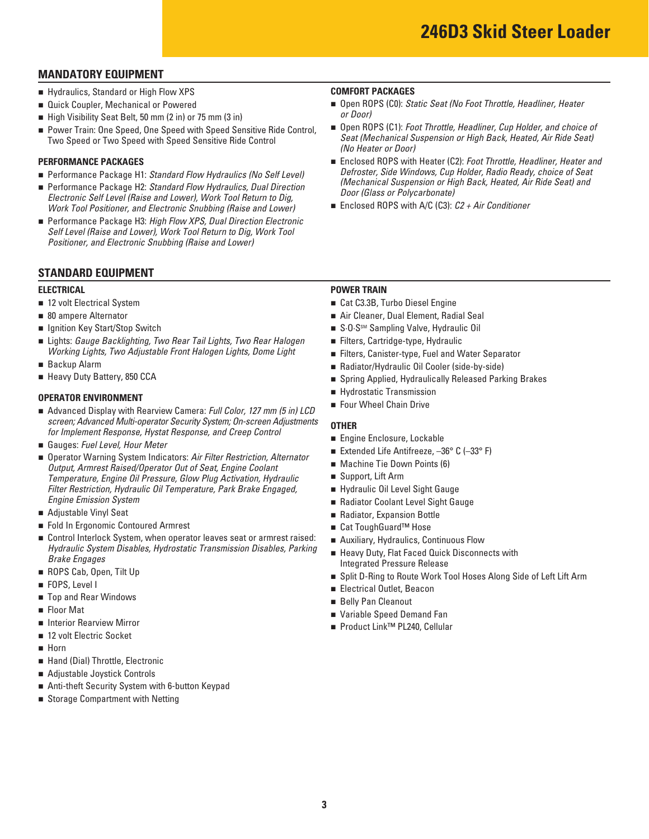## **MANDATORY EQUIPMENT**

- **Example 3 I** Hydraulics, Standard or High Flow XPS **COMFORT PACKAGES**
- **Quick Coupler, Mechanical or Powered**
- n High Visibility Seat Belt, 50 mm (2 in) or 75 mm (3 in)
- Power Train: One Speed, One Speed with Speed Sensitive Ride Control, Two Speed or Two Speed with Speed Sensitive Ride Control

#### **PERFORMANCE PACKAGES**

- Performance Package H1: Standard Flow Hydraulics (No Self Level)
- Performance Package H2: Standard Flow Hydraulics, Dual Direction *Electronic Self Level (Raise and Lower), Work Tool Return to Dig, Work Tool Positioner, and Electronic Snubbing (Raise and Lower)*
- Performance Package H3: *High Flow XPS, Dual Direction Electronic Self Level (Raise and Lower), Work Tool Return to Dig, Work Tool Positioner, and Electronic Snubbing (Raise and Lower)*

## **STANDARD EQUIPMENT**

- 12 volt Electrical System
- 80 ampere Alternator
- **u** Ignition Key Start/Stop Switch
- n Lights: *Gauge Backlighting, Two Rear Tail Lights, Two Rear Halogen* n Filters, Cartridge-type, Hydraulic *Working Lights, Two Adjustable Front Halogen Lights, Dome Light*
- **Backup Alarm**
- **E** Heavy Duty Battery, 850 CCA

- **OPERATOR ENVIRONMENT**<br>■ Advanced Display with Rearview Camera: *Full Color, 127 mm (5 in) LCD* Four Wheel Chain Drive
- Gauges: Fuel Level, Hour Meter
- *Engine Emission System Coolant Level Sight Gauge* **n** Radiator Coolant Level Sight Gauge screen; Advanced Multi-operator Security System; On-screen Adjustments<br>
for Implement Response, Hystat Response, and Creep Control<br>
■ Gauges: Fuel Level, Hour Meter<br>
■ Operator Warning System Indicators: Air Filter Restri **Output, Armrest Raised/Operator Out of Seat, Engine Coolant** *Temperature, Engine Oil Pressure, Glow Plug Activation, Hydraulic* Filter Restriction, Hydraulic Oil Temperature, Park Brake Engaged,
- Adjustable Vinyl Seat
- Fold In Ergonomic Contoured Armrest n Cat ToughGuard™ Hose
- Control Interlock System, when operator leaves seat or armrest raised: Hydraulic System Disables, Hydrostatic Transmission Disables, Parking<br>Brake Engages<br>Integrated Pressure Release
- ROPS Cab, Open, Tilt Up
- **FOPS, Level I**
- **Extends on Belly Pan Cleanout n Belly Pan Cleanout n** Belly Pan Cleanout
- **Floor Mat**
- **n** Interior Rearview Mirror
- 12 volt Electric Socket
- n Horn
- **E** Hand (Dial) Throttle, Electronic
- n Adjustable Joystick Controls
- n Anti-theft Security System with 6-button Keypad
- **B** Storage Compartment with Netting

- Open ROPS (C0): *Static Seat (No Foot Throttle, Headliner, Heater or Door)*
- Open ROPS (C1): *Foot Throttle, Headliner, Cup Holder, and choice of Seat (Mechanical Suspension or High Back, Heated, Air Ride Seat) (No Heater or Door)*
- Enclosed ROPS with Heater (C2): *Foot Throttle, Headliner, Heater and Defroster, Side Windows, Cup Holder, Radio Ready, choice of Seat (Mechanical Suspension or High Back, Heated, Air Ride Seat) and Door (Glass or Polycarbonate)*
- Enclosed ROPS with A/C (C3): *C2 + Air Conditioner*

#### **ELECTRICAL POWER TRAIN**

- 12 volt Electrical System n Cat C3.3B, Turbo Diesel Engine
- **1** 80 ampere Alternator **120 ampere Alternator** 1 **Air Cleaner, Dual Element, Radial Seal**
- **n** Ignition Key Start/Stop Switch n S·O·SSM Sampling Valve, Hydraulic Oil
	- Filters, Cartridge-type, Hydraulic
	- Filters, Canister-type, Fuel and Water Separator
- Backup Alarm **n Radiator/Hydraulic Oil Cooler (side-by-side)**
- Heavy Duty Battery, 850 CCA **n Spring Applied, Hydraulically Released Parking Brakes** 
	- **Exercise Hydrostatic Transmission**
	- Four Wheel Chain Drive

- **Engine Enclosure, Lockable**
- Extended Life Antifreeze,  $-36^{\circ}$  C ( $-33^{\circ}$  F)
- Machine Tie Down Points (6)
- Support, Lift Arm
- Hydraulic Oil Level Sight Gauge
- 
- **Adjustable Vinyl Seat 19 and Radiator, Expansion Bottle** 
	- Cat ToughGuard<sup>™</sup> Hose
	- Auxiliary, Hydraulics, Continuous Flow
	- **Example 20 Heavy Duty, Flat Faced Quick Disconnects with**
- **n** ROPS Cab, Open, Tilt Up **n Split D-Ring to Route Work Tool Hoses Along Side of Left Lift Arm**
- FOPS, Level I<br>■ Electrical Outlet, Beacon
	- **Belly Pan Cleanout**
- Floor Mat n Variable Speed Demand Fan
- Interior Rearview Mirror n Product Link<sup>™</sup> PL240, Cellular